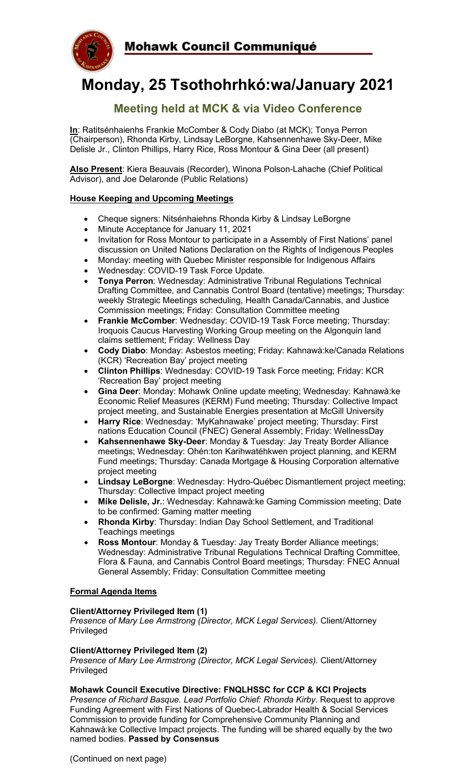

# **Monday, 25 Tsothohrhkó:wa/January 2021**

## **Meeting held at MCK & via Video Conference**

**In**: Ratitsénhaienhs Frankie McComber & Cody Diabo (at MCK); Tonya Perron (Chairperson), Rhonda Kirby, Lindsay LeBorgne, Kahsennenhawe Sky-Deer, Mike Delisle Jr., Clinton Phillips, Harry Rice, Ross Montour & Gina Deer (all present)

**Also Present**: Kiera Beauvais (Recorder), Winona Polson-Lahache (Chief Political Advisor), and Joe Delaronde (Public Relations)

#### **House Keeping and Upcoming Meetings**

- Cheque signers: Nitsénhaiehns Rhonda Kirby & Lindsay LeBorgne
- Minute Acceptance for January 11, 2021
- Invitation for Ross Montour to participate in a Assembly of First Nations' panel discussion on United Nations Declaration on the Rights of Indigenous Peoples
- Monday: meeting with Quebec Minister responsible for Indigenous Affairs
- Wednesday: COVID-19 Task Force Update.
- **Tonya Perron**: Wednesday: Administrative Tribunal Regulations Technical Drafting Committee, and Cannabis Control Board (tentative) meetings; Thursday: weekly Strategic Meetings scheduling, Health Canada/Cannabis, and Justice Commission meetings; Friday: Consultation Committee meeting
- **Frankie McComber**: Wednesday: COVID-19 Task Force meeting; Thursday: Iroquois Caucus Harvesting Working Group meeting on the Algonquin land claims settlement; Friday: Wellness Day
- **Cody Diabo**: Monday: Asbestos meeting; Friday: Kahnawà:ke/Canada Relations (KCR) 'Recreation Bay' project meeting
- **Clinton Phillips**: Wednesday: COVID-19 Task Force meeting; Friday: KCR 'Recreation Bay' project meeting
- **Gina Deer**: Monday: Mohawk Online update meeting; Wednesday: Kahnawà:ke Economic Relief Measures (KERM) Fund meeting; Thursday: Collective Impact project meeting, and Sustainable Energies presentation at McGill University
- **Harry Rice**: Wednesday: 'MyKahnawake' project meeting; Thursday: First nations Education Council (FNEC) General Assembly; Friday: WellnessDay
- **Kahsennenhawe Sky-Deer**: Monday & Tuesday: Jay Treaty Border Alliance meetings; Wednesday: Ohén:ton Karihwatéhkwen project planning, and KERM Fund meetings; Thursday: Canada Mortgage & Housing Corporation alternative project meeting
- **Lindsay LeBorgne**: Wednesday: Hydro-Québec Dismantlement project meeting; Thursday: Collective Impact project meeting
- **Mike Delisle, Jr.**: Wednesday: Kahnawà:ke Gaming Commission meeting; Date to be confirmed: Gaming matter meeting
- **Rhonda Kirby**: Thursday: Indian Day School Settlement, and Traditional Teachings meetings
- **Ross Montour**: Monday & Tuesday: Jay Treaty Border Alliance meetings; Wednesday: Administrative Tribunal Regulations Technical Drafting Committee, Flora & Fauna, and Cannabis Control Board meetings; Thursday: FNEC Annual General Assembly; Friday: Consultation Committee meeting

#### **Formal Agenda Items**

#### **Client/Attorney Privileged Item (1)**

*Presence of Mary Lee Armstrong (Director, MCK Legal Services).* Client/Attorney Privileged

#### **Client/Attorney Privileged Item (2)**

*Presence of Mary Lee Armstrong (Director, MCK Legal Services).* Client/Attorney Privileged

#### **Mohawk Council Executive Directive: FNQLHSSC for CCP & KCI Projects**

*Presence of Richard Basque. Lead Portfolio Chief: Rhonda Kirby. Request to approve* Funding Agreement with First Nations of Quebec-Labrador Health & Social Services Commission to provide funding for Comprehensive Community Planning and Kahnawà:ke Collective Impact projects. The funding will be shared equally by the two named bodies. **Passed by Consensus**

(Continued on next page)